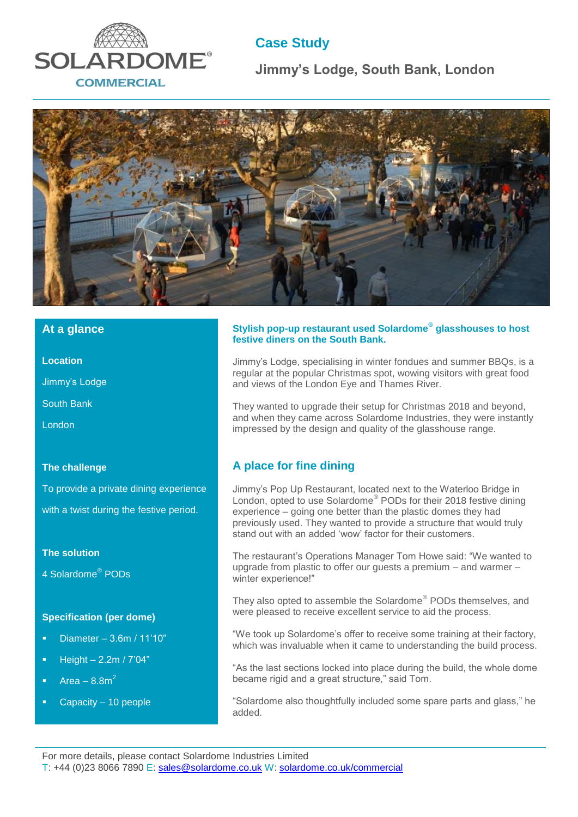

# **Case Study**

**Jimmy's Lodge, South Bank, London**



### **At a glance**

**Location**

Jimmy's Lodge

South Bank

London

#### **The challenge**

To provide a private dining experience with a twist during the festive period.

#### **The solution**

4 Solardome<sup>®</sup> PODs

#### **Specification (per dome)**

- Diameter 3.6m / 11'10"
- $\overline{\phantom{0}}$  Height 2.2m / 7'04"
- Area  $-8.8m<sup>2</sup>$
- Capacity 10 people

#### **Stylish pop-up restaurant used Solardome® glasshouses to host festive diners on the South Bank.**

Jimmy's Lodge, specialising in winter fondues and summer BBQs, is a regular at the popular Christmas spot, wowing visitors with great food and views of the London Eye and Thames River.

They wanted to upgrade their setup for Christmas 2018 and beyond, and when they came across Solardome Industries, they were instantly impressed by the design and quality of the glasshouse range.

## **A place for fine dining**

Jimmy's Pop Up Restaurant, located next to the Waterloo Bridge in London, opted to use Solardome<sup>®</sup> PODs for their 2018 festive dining experience – going one better than the plastic domes they had previously used. They wanted to provide a structure that would truly stand out with an added 'wow' factor for their customers.

The restaurant's Operations Manager Tom Howe said: "We wanted to upgrade from plastic to offer our guests a premium – and warmer – winter experience!"

They also opted to assemble the Solardome® PODs themselves, and were pleased to receive excellent service to aid the process.

"We took up Solardome's offer to receive some training at their factory, which was invaluable when it came to understanding the build process.

"As the last sections locked into place during the build, the whole dome became rigid and a great structure," said Tom.

"Solardome also thoughtfully included some spare parts and glass," he added.